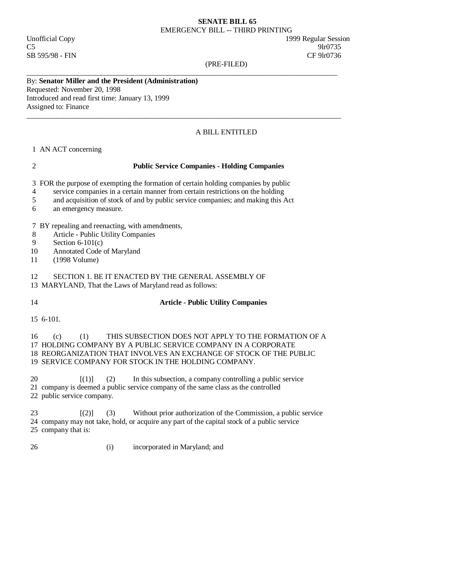#### **SENATE BILL 65**  EMERGENCY BILL -- THIRD PRINTING

SB 595/98 - FIN CF 9lr0736

Unofficial Copy 1999 Regular Session  $C5$  9lr0735

(PRE-FILED)

# By: **Senator Miller and the President (Administration)**

Requested: November 20, 1998 Introduced and read first time: January 13, 1999 Assigned to: Finance

### A BILL ENTITLED

### 1 AN ACT concerning

#### 2 **Public Service Companies - Holding Companies**

3 FOR the purpose of exempting the formation of certain holding companies by public

\_\_\_\_\_\_\_\_\_\_\_\_\_\_\_\_\_\_\_\_\_\_\_\_\_\_\_\_\_\_\_\_\_\_\_\_\_\_\_\_\_\_\_\_\_\_\_\_\_\_\_\_\_\_\_\_\_\_\_\_\_\_\_\_\_\_\_\_\_\_\_\_\_\_\_\_\_\_\_\_\_\_\_\_

 $\_$  ,  $\_$  ,  $\_$  ,  $\_$  ,  $\_$  ,  $\_$  ,  $\_$  ,  $\_$  ,  $\_$  ,  $\_$  ,  $\_$  ,  $\_$  ,  $\_$  ,  $\_$  ,  $\_$  ,  $\_$  ,  $\_$  ,  $\_$  ,  $\_$  ,  $\_$  ,  $\_$  ,  $\_$  ,  $\_$  ,  $\_$  ,  $\_$  ,  $\_$  ,  $\_$  ,  $\_$  ,  $\_$  ,  $\_$  ,  $\_$  ,  $\_$  ,  $\_$  ,  $\_$  ,  $\_$  ,  $\_$  ,  $\_$  ,

- 4 service companies in a certain manner from certain restrictions on the holding
- 5 and acquisition of stock of and by public service companies; and making this Act
- 6 an emergency measure.

7 BY repealing and reenacting, with amendments,

- 8 Article Public Utility Companies
- 9 Section 6-101(c)<br>10 Annotated Code
- Annotated Code of Maryland
- 11 (1998 Volume)

# 12 SECTION 1. BE IT ENACTED BY THE GENERAL ASSEMBLY OF

- 13 MARYLAND, That the Laws of Maryland read as follows:
- 

## 14 **Article - Public Utility Companies**

15 6-101.

#### 16 (c) (1) THIS SUBSECTION DOES NOT APPLY TO THE FORMATION OF A 17 HOLDING COMPANY BY A PUBLIC SERVICE COMPANY IN A CORPORATE 18 REORGANIZATION THAT INVOLVES AN EXCHANGE OF STOCK OF THE PUBLIC 19 SERVICE COMPANY FOR STOCK IN THE HOLDING COMPANY.

20 [(1)] (2) In this subsection, a company controlling a public service 21 company is deemed a public service company of the same class as the controlled

22 public service company.

 23 [(2)] (3) Without prior authorization of the Commission, a public service 24 company may not take, hold, or acquire any part of the capital stock of a public service 25 company that is:

26 (i) incorporated in Maryland; and